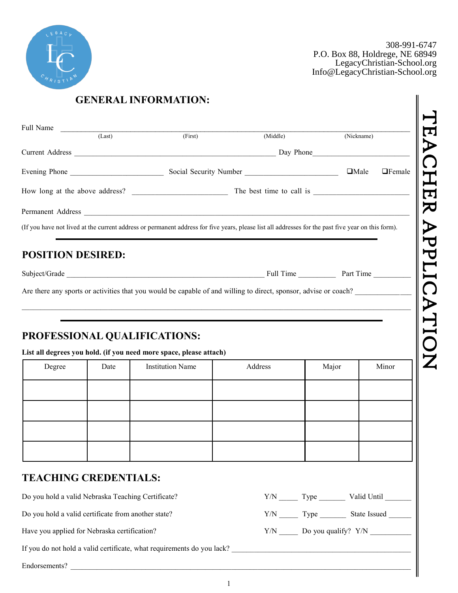

308-991-6747 P.O. Box 88, Holdrege, NE 68949 LegacyChristian-School.org Info@LegacyChristian-School.org

| Full Name                | (Last) | (First)                                                                                                                                            | (Middle) |       | (Nickname)                   |
|--------------------------|--------|----------------------------------------------------------------------------------------------------------------------------------------------------|----------|-------|------------------------------|
|                          |        |                                                                                                                                                    |          |       |                              |
|                          |        |                                                                                                                                                    |          |       | $\Box$ Male<br>$\Box$ Female |
|                          |        |                                                                                                                                                    |          |       |                              |
|                          |        |                                                                                                                                                    |          |       |                              |
|                          |        | (If you have not lived at the current address or permanent address for five years, please list all addresses for the past five year on this form). |          |       |                              |
|                          |        |                                                                                                                                                    |          |       |                              |
| <b>POSITION DESIRED:</b> |        |                                                                                                                                                    |          |       |                              |
|                          |        |                                                                                                                                                    |          |       |                              |
|                          |        |                                                                                                                                                    |          |       |                              |
|                          |        | Are there any sports or activities that you would be capable of and willing to direct, sponsor, advise or coach?                                   |          |       |                              |
|                          |        |                                                                                                                                                    |          |       |                              |
|                          |        |                                                                                                                                                    |          |       |                              |
|                          |        | PROFESSIONAL QUALIFICATIONS:                                                                                                                       |          |       |                              |
|                          |        | List all degrees you hold. (if you need more space, please attach)                                                                                 |          |       |                              |
| Degree                   | Date   | <b>Institution Name</b>                                                                                                                            | Address  | Major | Minor                        |
|                          |        |                                                                                                                                                    |          |       |                              |
|                          |        |                                                                                                                                                    |          |       |                              |
|                          |        |                                                                                                                                                    |          |       |                              |
|                          |        |                                                                                                                                                    |          |       |                              |

Do you hold a valid Nebraska Teaching Certificate?

Have you applied for Nebraska certification?  $Y/N$  Do you qualify?  $Y/N$ 

If you do not hold a valid certificate, what requirements do you lack? \_\_\_\_\_\_\_\_\_\_\_\_\_\_\_\_\_\_\_\_\_\_\_\_\_\_\_\_\_\_\_\_\_\_\_\_\_\_\_\_\_\_\_\_\_\_\_\_

Endorsements? \_\_\_\_\_\_\_\_\_\_\_\_\_\_\_\_\_\_\_\_\_\_\_\_\_\_\_\_\_\_\_\_\_\_\_\_\_\_\_\_\_\_\_\_\_\_\_\_\_\_\_\_\_\_\_\_\_\_\_\_\_\_\_\_\_\_\_\_\_\_\_\_\_\_\_\_\_\_\_\_\_\_\_\_\_\_\_\_\_\_\_

| Do you hold a valid Nebraska Teaching Certificate?  | Y/N | Type | Valid Until  |
|-----------------------------------------------------|-----|------|--------------|
| Do you hold a valid certificate from another state? | Y/N | Type | State Issued |

1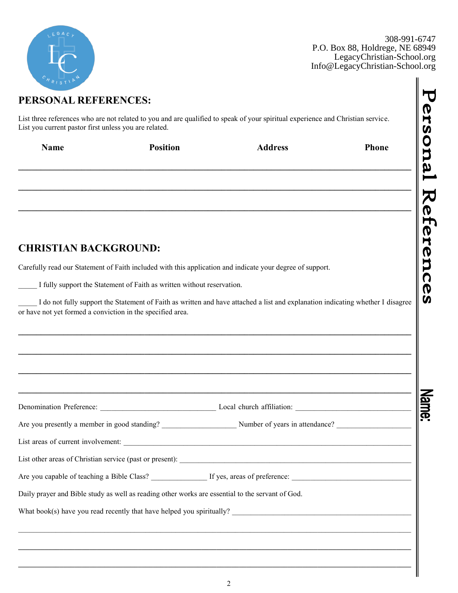| LEGAC,          |
|-----------------|
|                 |
|                 |
| $e_{H_{RIST1}}$ |

 $\frac{200}{8}$   $\frac{001}{5}$   $\frac{674}{8}$ .906-771-074<br>2004 kpage NE www.francesty.com<br>acvChristian-School.org LegacyChristian-School.org 308-991-6747 P.O. Box 88, Holdrege, NE 68949 LegacyChristian-School.org Info@LegacyChristian-School.org

| PERSONAL REFERENCES:                                                                   |                                                                        |                                                                                                                                 |       |  |  |  |
|----------------------------------------------------------------------------------------|------------------------------------------------------------------------|---------------------------------------------------------------------------------------------------------------------------------|-------|--|--|--|
| List you current pastor first unless you are related.                                  |                                                                        | List three references who are not related to you and are qualified to speak of your spiritual experience and Christian service. |       |  |  |  |
| <b>Name</b>                                                                            | <b>Position</b>                                                        | <b>Address</b>                                                                                                                  | Phone |  |  |  |
|                                                                                        |                                                                        |                                                                                                                                 |       |  |  |  |
| <b>CHRISTIAN BACKGROUND:</b>                                                           |                                                                        |                                                                                                                                 |       |  |  |  |
|                                                                                        |                                                                        | Carefully read our Statement of Faith included with this application and indicate your degree of support.                       |       |  |  |  |
|                                                                                        |                                                                        |                                                                                                                                 |       |  |  |  |
|                                                                                        | I fully support the Statement of Faith as written without reservation. | I do not fully support the Statement of Faith as written and have attached a list and explanation indicating whether I disagree |       |  |  |  |
|                                                                                        |                                                                        |                                                                                                                                 |       |  |  |  |
| or have not yet formed a conviction in the specified area.<br>Denomination Preference: |                                                                        | Local church affiliation:                                                                                                       |       |  |  |  |
|                                                                                        |                                                                        |                                                                                                                                 |       |  |  |  |
|                                                                                        |                                                                        |                                                                                                                                 |       |  |  |  |
|                                                                                        |                                                                        |                                                                                                                                 |       |  |  |  |
|                                                                                        |                                                                        |                                                                                                                                 |       |  |  |  |
|                                                                                        |                                                                        | Daily prayer and Bible study as well as reading other works are essential to the servant of God.                                |       |  |  |  |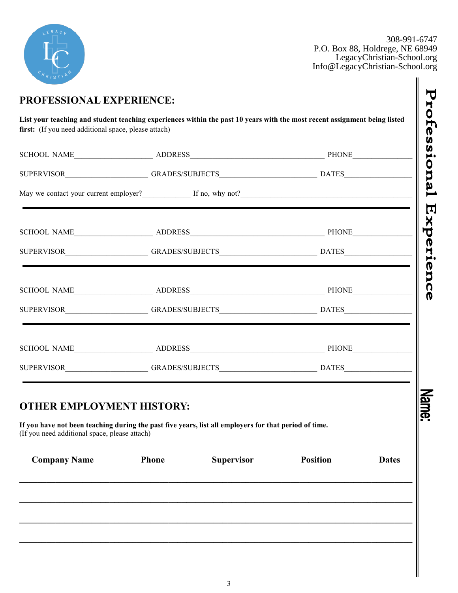

 $308, 001, 674$ <sub>300</sub> 351 671<br>drege. NE 6894 acyChristian-School.or LegacyChristian-School.or 308-991-6747 P.O. Box 88, Holdrege, NE 68949 LegacyChristian-School.org Info@LegacyChristian-School.org

∥

| May we contact your current employer?<br>If no, why not?<br>If no, why not?                                                                                                               |              |                   |                 |              |  |
|-------------------------------------------------------------------------------------------------------------------------------------------------------------------------------------------|--------------|-------------------|-----------------|--------------|--|
|                                                                                                                                                                                           |              |                   |                 |              |  |
|                                                                                                                                                                                           |              |                   |                 |              |  |
|                                                                                                                                                                                           |              |                   |                 |              |  |
|                                                                                                                                                                                           |              |                   |                 |              |  |
|                                                                                                                                                                                           |              |                   |                 |              |  |
|                                                                                                                                                                                           |              |                   |                 |              |  |
| <b>THER EMPLOYMENT HISTORY:</b><br>If you have not been teaching during the past five years, list all employers for that period of time.<br>(If you need additional space, please attach) |              |                   |                 |              |  |
| <b>Company Name</b>                                                                                                                                                                       | <b>Phone</b> | <b>Supervisor</b> | <b>Position</b> | <b>Dates</b> |  |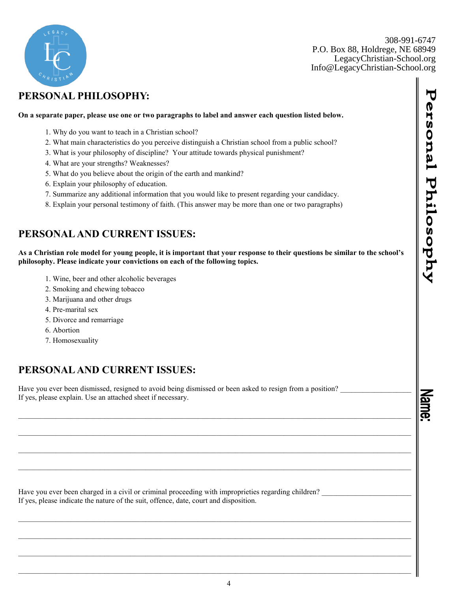

308.236.8744 308-991-6747 P.O. Box 88, Holdrege, NE 68949 contact@fcskearney.org Info@LegacyChristian-School.orgLegacyChristian-School.org

## **PERSONAL PHILOSOPHY:**

## **On a separate paper, please use one or two paragraphs to label and answer each question listed below.**

- 1. Why do you want to teach in a Christian school?
- 2. What main characteristics do you perceive distinguish a Christian school from a public school?
- 3. What is your philosophy of discipline? Your attitude towards physical punishment?
- 4. What are your strengths? Weaknesses?
- 5. What do you believe about the origin of the earth and mankind?
- 6. Explain your philosophy of education.
- 7. Summarize any additional information that you would like to present regarding your candidacy.
- 8. Explain your personal testimony of faith. (This answer may be more than one or two paragraphs)

## **PERSONAL AND CURRENT ISSUES:**

**As a Christian role model for young people, it is important that your response to their questions be similar to the school's philosophy. Please indicate your convictions on each of the following topics.** 

 $\mathcal{L}_\text{max} = \mathcal{L}_\text{max} = \mathcal{L}_\text{max} = \mathcal{L}_\text{max} = \mathcal{L}_\text{max} = \mathcal{L}_\text{max} = \mathcal{L}_\text{max} = \mathcal{L}_\text{max} = \mathcal{L}_\text{max} = \mathcal{L}_\text{max} = \mathcal{L}_\text{max} = \mathcal{L}_\text{max} = \mathcal{L}_\text{max} = \mathcal{L}_\text{max} = \mathcal{L}_\text{max} = \mathcal{L}_\text{max} = \mathcal{L}_\text{max} = \mathcal{L}_\text{max} = \mathcal{$ 

 $\mathcal{L}_\mathcal{L} = \{ \mathcal{L}_\mathcal{L} = \{ \mathcal{L}_\mathcal{L} = \{ \mathcal{L}_\mathcal{L} = \{ \mathcal{L}_\mathcal{L} = \{ \mathcal{L}_\mathcal{L} = \{ \mathcal{L}_\mathcal{L} = \{ \mathcal{L}_\mathcal{L} = \{ \mathcal{L}_\mathcal{L} = \{ \mathcal{L}_\mathcal{L} = \{ \mathcal{L}_\mathcal{L} = \{ \mathcal{L}_\mathcal{L} = \{ \mathcal{L}_\mathcal{L} = \{ \mathcal{L}_\mathcal{L} = \{ \mathcal{L}_\mathcal{$ 

 $\mathcal{L}_\text{max} = \mathcal{L}_\text{max} = \mathcal{L}_\text{max} = \mathcal{L}_\text{max} = \mathcal{L}_\text{max} = \mathcal{L}_\text{max} = \mathcal{L}_\text{max} = \mathcal{L}_\text{max} = \mathcal{L}_\text{max} = \mathcal{L}_\text{max} = \mathcal{L}_\text{max} = \mathcal{L}_\text{max} = \mathcal{L}_\text{max} = \mathcal{L}_\text{max} = \mathcal{L}_\text{max} = \mathcal{L}_\text{max} = \mathcal{L}_\text{max} = \mathcal{L}_\text{max} = \mathcal{$ 

 $\mathcal{L}_\mathcal{L} = \{ \mathcal{L}_\mathcal{L} = \{ \mathcal{L}_\mathcal{L} = \{ \mathcal{L}_\mathcal{L} = \{ \mathcal{L}_\mathcal{L} = \{ \mathcal{L}_\mathcal{L} = \{ \mathcal{L}_\mathcal{L} = \{ \mathcal{L}_\mathcal{L} = \{ \mathcal{L}_\mathcal{L} = \{ \mathcal{L}_\mathcal{L} = \{ \mathcal{L}_\mathcal{L} = \{ \mathcal{L}_\mathcal{L} = \{ \mathcal{L}_\mathcal{L} = \{ \mathcal{L}_\mathcal{L} = \{ \mathcal{L}_\mathcal{$ 

- 1. Wine, beer and other alcoholic beverages
- 2. Smoking and chewing tobacco
- 3. Marijuana and other drugs
- 4. Pre-marital sex
- 5. Divorce and remarriage
- 6. Abortion
- 7. Homosexuality

## **PERSONAL AND CURRENT ISSUES:**

Have you ever been dismissed, resigned to avoid being dismissed or been asked to resign from a position? If yes, please explain. Use an attached sheet if necessary.

Have you ever been charged in a civil or criminal proceeding with improprieties regarding children? If yes, please indicate the nature of the suit, offence, date, court and disposition.

Mam